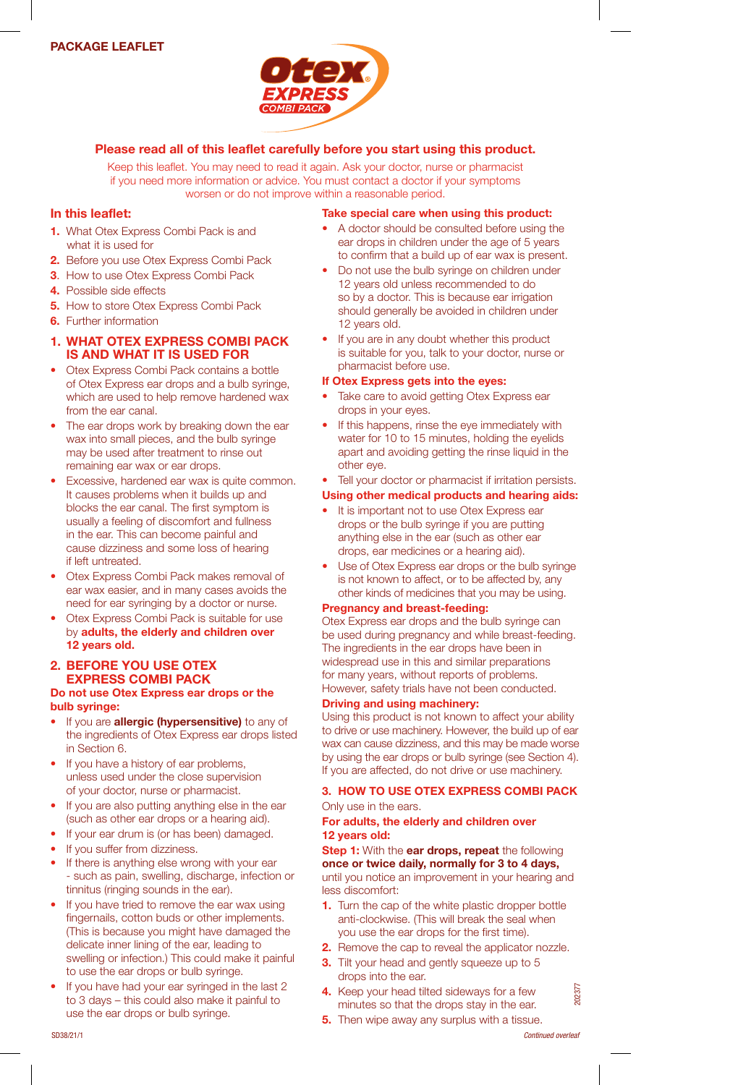

## Please read all of this leaflet carefully before you start using this product.

Keep this leaflet. You may need to read it again. Ask your doctor, nurse or pharmacist if you need more information or advice. You must contact a doctor if your symptoms worsen or do not improve within a reasonable period.

# In this leaflet:

- 1. What Otex Express Combi Pack is and what it is used for
- 2. Before you use Otex Express Combi Pack
- 3. How to use Otex Express Combi Pack
- 4. Possible side effects
- 5. How to store Otex Express Combi Pack
- 6. Further information

### 1. WHAT OTEX EXPRESS COMBI PACK IS AND WHAT IT IS USED FOR

- Otex Express Combi Pack contains a bottle of Otex Express ear drops and a bulb syringe, which are used to help remove hardened wax from the ear canal.
- The ear drops work by breaking down the ear wax into small pieces, and the bulb syringe may be used after treatment to rinse out remaining ear wax or ear drops.
- Excessive, hardened ear wax is quite common. It causes problems when it builds up and blocks the ear canal. The first symptom is usually a feeling of discomfort and fullness in the ear. This can become painful and cause dizziness and some loss of hearing if left untreated.
- Otex Express Combi Pack makes removal of ear wax easier, and in many cases avoids the need for ear syringing by a doctor or nurse.
- Otex Express Combi Pack is suitable for use by adults, the elderly and children over 12 years old.

## 2. BEFORE YOU USE OTEX EXPRESS COMBI PACK

### Do not use Otex Express ear drops or the bulb syringe:

- If you are **allergic (hypersensitive)** to any of the ingredients of Otex Express ear drops listed in Section 6.
- If you have a history of ear problems, unless used under the close supervision of your doctor, nurse or pharmacist.
- If you are also putting anything else in the ear (such as other ear drops or a hearing aid).
- If your ear drum is (or has been) damaged.
- If you suffer from dizziness.
- If there is anything else wrong with your ear - such as pain, swelling, discharge, infection or tinnitus (ringing sounds in the ear).
- If you have tried to remove the ear wax using fingernails, cotton buds or other implements. (This is because you might have damaged the delicate inner lining of the ear, leading to swelling or infection.) This could make it painful to use the ear drops or bulb syringe.
- If you have had your ear syringed in the last 2 to 3 days – this could also make it painful to use the ear drops or bulb syringe.

## Take special care when using this product:

- A doctor should be consulted before using the ear drops in children under the age of 5 years to confirm that a build up of ear wax is present.
- Do not use the bulb syringe on children under 12 years old unless recommended to do so by a doctor. This is because ear irrigation should generally be avoided in children under 12 years old.
- If you are in any doubt whether this product is suitable for you, talk to your doctor, nurse or pharmacist before use.

## If Otex Express gets into the eyes:

- Take care to avoid getting Otex Express ear drops in your eyes.
- If this happens, rinse the eye immediately with water for 10 to 15 minutes, holding the eyelids apart and avoiding getting the rinse liquid in the other eye.
- Tell your doctor or pharmacist if irritation persists.

## Using other medical products and hearing aids:

- It is important not to use Otex Express ear drops or the bulb syringe if you are putting anything else in the ear (such as other ear drops, ear medicines or a hearing aid).
- Use of Otex Express ear drops or the bulb syringe is not known to affect, or to be affected by, any other kinds of medicines that you may be using.

### Pregnancy and breast-feeding:

Otex Express ear drops and the bulb syringe can be used during pregnancy and while breast-feeding. The ingredients in the ear drops have been in widespread use in this and similar preparations for many years, without reports of problems. However, safety trials have not been conducted.

### Driving and using machinery:

Using this product is not known to affect your ability to drive or use machinery. However, the build up of ear wax can cause dizziness, and this may be made worse by using the ear drops or bulb syringe (see Section 4). If you are affected, do not drive or use machinery.

## 3. HOW TO USE OTEX EXPRESS COMBI PACK

### Only use in the ears.

### For adults, the elderly and children over 12 years old:

Step 1: With the ear drops, repeat the following once or twice daily, normally for 3 to 4 days, until you notice an improvement in your hearing and less discomfort:

- 1. Turn the cap of the white plastic dropper bottle anti-clockwise. (This will break the seal when you use the ear drops for the first time).
- 2. Remove the cap to reveal the applicator nozzle.
- 3. Tilt your head and gently squeeze up to 5 drops into the ear.
- 4. Keep your head tilted sideways for a few minutes so that the drops stay in the ear.
- **5.** Then wipe away any surplus with a tissue.

20237